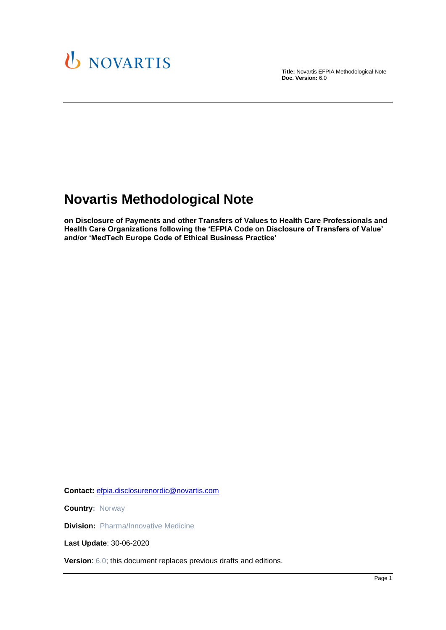

# **Novartis Methodological Note**

**on Disclosure of Payments and other Transfers of Values to Health Care Professionals and Health Care Organizations following the 'EFPIA Code on Disclosure of Transfers of Value' and/or 'MedTech Europe Code of Ethical Business Practice'**

**Contact:** [efpia.disclosurenordic@novartis.com](mailto:efpia.disclosurenordic@novartis.com)

**Country:** Norway

**Division:** Pharma/Innovative Medicine

**Last Update**: 30-06-2020

**Version**: 6.0; this document replaces previous drafts and editions.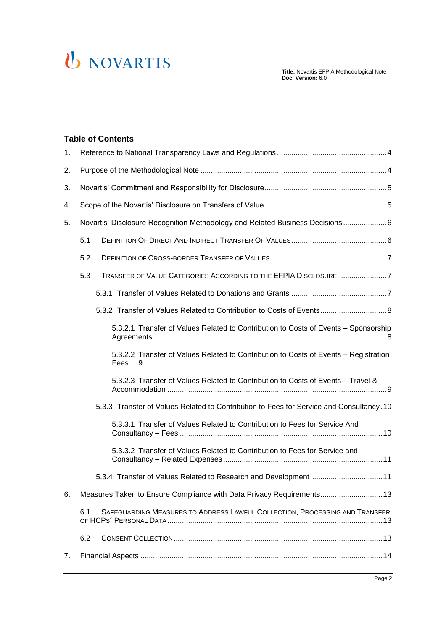

#### **Table of Contents**

| 1. |                                                                                                   |
|----|---------------------------------------------------------------------------------------------------|
| 2. |                                                                                                   |
| 3. |                                                                                                   |
| 4. |                                                                                                   |
| 5. | Novartis' Disclosure Recognition Methodology and Related Business Decisions 6                     |
|    | 5.1                                                                                               |
|    | 5.2                                                                                               |
|    | 5.3<br>TRANSFER OF VALUE CATEGORIES ACCORDING TO THE EFPIA DISCLOSURE7                            |
|    |                                                                                                   |
|    | 5.3.2 Transfer of Values Related to Contribution to Costs of Events 8                             |
|    | 5.3.2.1 Transfer of Values Related to Contribution to Costs of Events - Sponsorship               |
|    | 5.3.2.2 Transfer of Values Related to Contribution to Costs of Events - Registration<br>Fees<br>9 |
|    | 5.3.2.3 Transfer of Values Related to Contribution to Costs of Events - Travel &                  |
|    | 5.3.3 Transfer of Values Related to Contribution to Fees for Service and Consultancy. 10          |
|    | 5.3.3.1 Transfer of Values Related to Contribution to Fees for Service And                        |
|    | 5.3.3.2 Transfer of Values Related to Contribution to Fees for Service and                        |
|    | 5.3.4 Transfer of Values Related to Research and Development 11                                   |
| 6. | Measures Taken to Ensure Compliance with Data Privacy Requirements 13                             |
|    | SAFEGUARDING MEASURES TO ADDRESS LAWFUL COLLECTION, PROCESSING AND TRANSFER<br>6.1                |
|    | 6.2                                                                                               |
| 7. |                                                                                                   |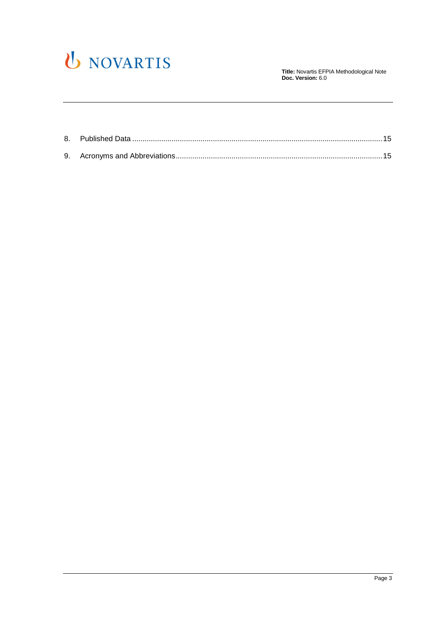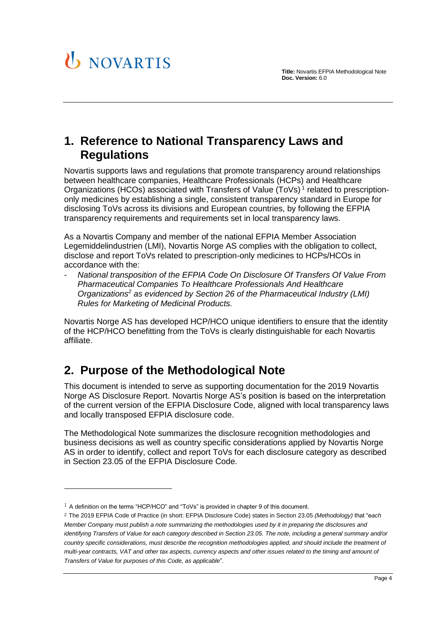

## <span id="page-3-0"></span>**1. Reference to National Transparency Laws and Regulations**

Novartis supports laws and regulations that promote transparency around relationships between healthcare companies, Healthcare Professionals (HCPs) and Healthcare Organizations (HCOs) associated with Transfers of Value (ToVs)<sup>1</sup> related to prescriptiononly medicines by establishing a single, consistent transparency standard in Europe for disclosing ToVs across its divisions and European countries, by following the EFPIA transparency requirements and requirements set in local transparency laws.

As a Novartis Company and member of the national EFPIA Member Association Legemiddelindustrien (LMI), Novartis Norge AS complies with the obligation to collect, disclose and report ToVs related to prescription-only medicines to HCPs/HCOs in accordance with the:

- *National transposition of the EFPIA Code On Disclosure Of Transfers Of Value From Pharmaceutical Companies To Healthcare Professionals And Healthcare Organizations<sup>2</sup> as evidenced by Section 26 of the Pharmaceutical Industry (LMI) Rules for Marketing of Medicinal Products.*

Novartis Norge AS has developed HCP/HCO unique identifiers to ensure that the identity of the HCP/HCO benefitting from the ToVs is clearly distinguishable for each Novartis affiliate.

# <span id="page-3-1"></span>**2. Purpose of the Methodological Note**

This document is intended to serve as supporting documentation for the 2019 Novartis Norge AS Disclosure Report. Novartis Norge AS's position is based on the interpretation of the current version of the EFPIA Disclosure Code, aligned with local transparency laws and locally transposed EFPIA disclosure code.

The Methodological Note summarizes the disclosure recognition methodologies and business decisions as well as country specific considerations applied by Novartis Norge AS in order to identify, collect and report ToVs for each disclosure category as described in Section 23.05 of the EFPIA Disclosure Code.

<sup>&</sup>lt;sup>1</sup> A definition on the terms "HCP/HCO" and "ToVs" is provided in chapter 9 of this document.

<sup>2</sup> The 2019 EFPIA Code of Practice (in short: EFPIA Disclosure Code) states in Section 23.05 *(Methodology)* that "e*ach Member Company must publish a note summarizing the methodologies used by it in preparing the disclosures and identifying Transfers of Value for each category described in Section 23.05. The note, including a general summary and/or country specific considerations, must describe the recognition methodologies applied, and should include the treatment of multi-year contracts, VAT and other tax aspects, currency aspects and other issues related to the timing and amount of Transfers of Value for purposes of this Code, as applicable*".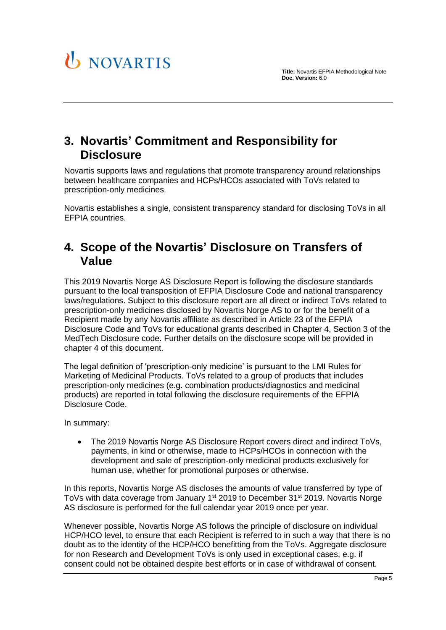

## <span id="page-4-0"></span>**3. Novartis' Commitment and Responsibility for Disclosure**

Novartis supports laws and regulations that promote transparency around relationships between healthcare companies and HCPs/HCOs associated with ToVs related to prescription-only medicines.

Novartis establishes a single, consistent transparency standard for disclosing ToVs in all EFPIA countries.

# <span id="page-4-1"></span>**4. Scope of the Novartis' Disclosure on Transfers of Value**

This 2019 Novartis Norge AS Disclosure Report is following the disclosure standards pursuant to the local transposition of EFPIA Disclosure Code and national transparency laws/regulations. Subject to this disclosure report are all direct or indirect ToVs related to prescription-only medicines disclosed by Novartis Norge AS to or for the benefit of a Recipient made by any Novartis affiliate as described in Article 23 of the EFPIA Disclosure Code and ToVs for educational grants described in Chapter 4, Section 3 of the MedTech Disclosure code. Further details on the disclosure scope will be provided in chapter [4](#page-4-1) of this document.

The legal definition of 'prescription-only medicine' is pursuant to the LMI Rules for Marketing of Medicinal Products. ToVs related to a group of products that includes prescription-only medicines (e.g. combination products/diagnostics and medicinal products) are reported in total following the disclosure requirements of the EFPIA Disclosure Code.

In summary:

 The 2019 Novartis Norge AS Disclosure Report covers direct and indirect ToVs, payments, in kind or otherwise, made to HCPs/HCOs in connection with the development and sale of prescription-only medicinal products exclusively for human use, whether for promotional purposes or otherwise.

In this reports, Novartis Norge AS discloses the amounts of value transferred by type of ToVs with data coverage from January 1<sup>st</sup> 2019 to December 31<sup>st</sup> 2019. Novartis Norge AS disclosure is performed for the full calendar year 2019 once per year.

Whenever possible, Novartis Norge AS follows the principle of disclosure on individual HCP/HCO level, to ensure that each Recipient is referred to in such a way that there is no doubt as to the identity of the HCP/HCO benefitting from the ToVs. Aggregate disclosure for non Research and Development ToVs is only used in exceptional cases, e.g. if consent could not be obtained despite best efforts or in case of withdrawal of consent.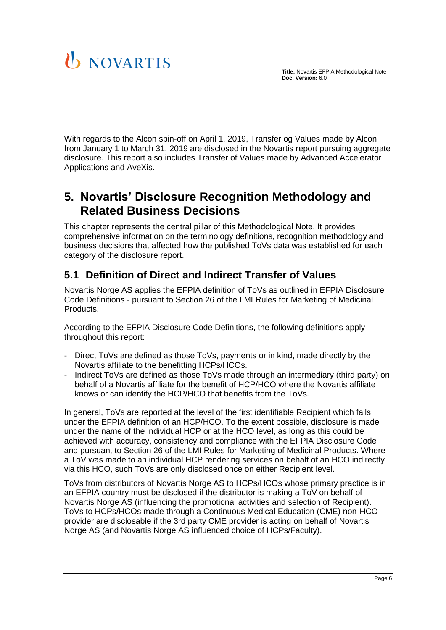

With regards to the Alcon spin-off on April 1, 2019, Transfer og Values made by Alcon from January 1 to March 31, 2019 are disclosed in the Novartis report pursuing aggregate disclosure. This report also includes Transfer of Values made by Advanced Accelerator Applications and AveXis.

# <span id="page-5-0"></span>**5. Novartis' Disclosure Recognition Methodology and Related Business Decisions**

This chapter represents the central pillar of this Methodological Note. It provides comprehensive information on the terminology definitions, recognition methodology and business decisions that affected how the published ToVs data was established for each category of the disclosure report.

## <span id="page-5-1"></span>**5.1 Definition of Direct and Indirect Transfer of Values**

Novartis Norge AS applies the EFPIA definition of ToVs as outlined in EFPIA Disclosure Code Definitions - pursuant to Section 26 of the LMI Rules for Marketing of Medicinal Products.

According to the EFPIA Disclosure Code Definitions, the following definitions apply throughout this report:

- Direct ToVs are defined as those ToVs, payments or in kind, made directly by the Novartis affiliate to the benefitting HCPs/HCOs.
- Indirect ToVs are defined as those ToVs made through an intermediary (third party) on behalf of a Novartis affiliate for the benefit of HCP/HCO where the Novartis affiliate knows or can identify the HCP/HCO that benefits from the ToVs.

In general, ToVs are reported at the level of the first identifiable Recipient which falls under the EFPIA definition of an HCP/HCO. To the extent possible, disclosure is made under the name of the individual HCP or at the HCO level, as long as this could be achieved with accuracy, consistency and compliance with the EFPIA Disclosure Code and pursuant to Section 26 of the LMI Rules for Marketing of Medicinal Products. Where a ToV was made to an individual HCP rendering services on behalf of an HCO indirectly via this HCO, such ToVs are only disclosed once on either Recipient level.

ToVs from distributors of Novartis Norge AS to HCPs/HCOs whose primary practice is in an EFPIA country must be disclosed if the distributor is making a ToV on behalf of Novartis Norge AS (influencing the promotional activities and selection of Recipient). ToVs to HCPs/HCOs made through a Continuous Medical Education (CME) non-HCO provider are disclosable if the 3rd party CME provider is acting on behalf of Novartis Norge AS (and Novartis Norge AS influenced choice of HCPs/Faculty).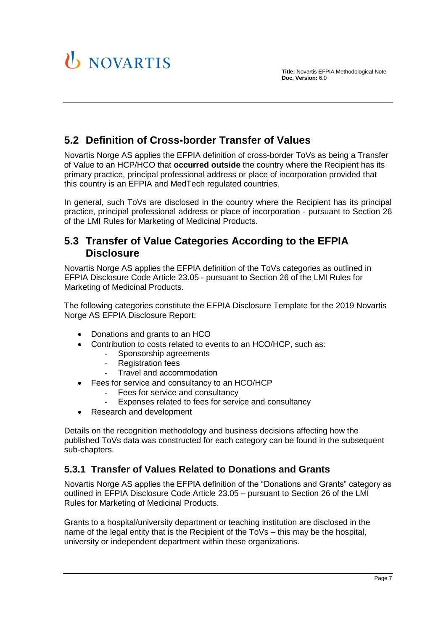## <span id="page-6-0"></span>**5.2 Definition of Cross-border Transfer of Values**

Novartis Norge AS applies the EFPIA definition of cross-border ToVs as being a Transfer of Value to an HCP/HCO that **occurred outside** the country where the Recipient has its primary practice, principal professional address or place of incorporation provided that this country is an EFPIA and MedTech regulated countries.

In general, such ToVs are disclosed in the country where the Recipient has its principal practice, principal professional address or place of incorporation - pursuant to Section 26 of the LMI Rules for Marketing of Medicinal Products.

#### <span id="page-6-1"></span>**5.3 Transfer of Value Categories According to the EFPIA Disclosure**

Novartis Norge AS applies the EFPIA definition of the ToVs categories as outlined in EFPIA Disclosure Code Article 23.05 - pursuant to Section 26 of the LMI Rules for Marketing of Medicinal Products.

The following categories constitute the EFPIA Disclosure Template for the 2019 Novartis Norge AS EFPIA Disclosure Report:

- Donations and grants to an HCO
- Contribution to costs related to events to an HCO/HCP, such as:
	- Sponsorship agreements
	- **Registration fees**
	- Travel and accommodation
- Fees for service and consultancy to an HCO/HCP
	- Fees for service and consultancy
	- Expenses related to fees for service and consultancy
- Research and development

Details on the recognition methodology and business decisions affecting how the published ToVs data was constructed for each category can be found in the subsequent sub-chapters.

#### <span id="page-6-2"></span>**5.3.1 Transfer of Values Related to Donations and Grants**

Novartis Norge AS applies the EFPIA definition of the "Donations and Grants" category as outlined in EFPIA Disclosure Code Article 23.05 – pursuant to Section 26 of the LMI Rules for Marketing of Medicinal Products.

Grants to a hospital/university department or teaching institution are disclosed in the name of the legal entity that is the Recipient of the ToVs – this may be the hospital, university or independent department within these organizations.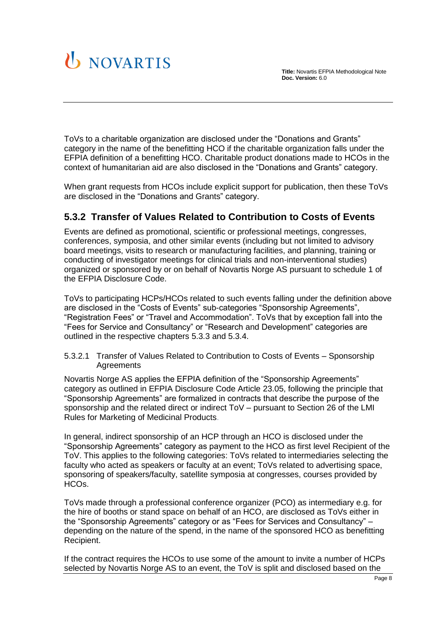

ToVs to a charitable organization are disclosed under the "Donations and Grants" category in the name of the benefitting HCO if the charitable organization falls under the EFPIA definition of a benefitting HCO. Charitable product donations made to HCOs in the context of humanitarian aid are also disclosed in the "Donations and Grants" category.

When grant requests from HCOs include explicit support for publication, then these ToVs are disclosed in the "Donations and Grants" category.

#### <span id="page-7-0"></span>**5.3.2 Transfer of Values Related to Contribution to Costs of Events**

Events are defined as promotional, scientific or professional meetings, congresses, conferences, symposia, and other similar events (including but not limited to advisory board meetings, visits to research or manufacturing facilities, and planning, training or conducting of investigator meetings for clinical trials and non-interventional studies) organized or sponsored by or on behalf of Novartis Norge AS pursuant to schedule 1 of the EFPIA Disclosure Code.

ToVs to participating HCPs/HCOs related to such events falling under the definition above are disclosed in the "Costs of Events" sub-categories "Sponsorship Agreements", "Registration Fees" or "Travel and Accommodation". ToVs that by exception fall into the "Fees for Service and Consultancy" or "Research and Development" categories are outlined in the respective chapters [5.3.3](#page-9-0) and [5.3.4.](#page-10-1)

<span id="page-7-1"></span>5.3.2.1 Transfer of Values Related to Contribution to Costs of Events – Sponsorship **Agreements** 

Novartis Norge AS applies the EFPIA definition of the "Sponsorship Agreements" category as outlined in EFPIA Disclosure Code Article 23.05, following the principle that "Sponsorship Agreements" are formalized in contracts that describe the purpose of the sponsorship and the related direct or indirect ToV – pursuant to Section 26 of the LMI Rules for Marketing of Medicinal Products.

In general, indirect sponsorship of an HCP through an HCO is disclosed under the "Sponsorship Agreements" category as payment to the HCO as first level Recipient of the ToV. This applies to the following categories: ToVs related to intermediaries selecting the faculty who acted as speakers or faculty at an event; ToVs related to advertising space, sponsoring of speakers/faculty, satellite symposia at congresses, courses provided by HCOs.

ToVs made through a professional conference organizer (PCO) as intermediary e.g. for the hire of booths or stand space on behalf of an HCO, are disclosed as ToVs either in the "Sponsorship Agreements" category or as "Fees for Services and Consultancy" – depending on the nature of the spend, in the name of the sponsored HCO as benefitting Recipient.

If the contract requires the HCOs to use some of the amount to invite a number of HCPs selected by Novartis Norge AS to an event, the ToV is split and disclosed based on the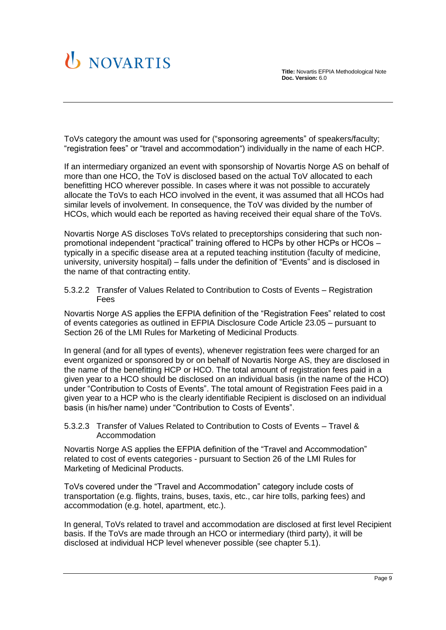

ToVs category the amount was used for ("sponsoring agreements" of speakers/faculty; "registration fees" or "travel and accommodation") individually in the name of each HCP.

If an intermediary organized an event with sponsorship of Novartis Norge AS on behalf of more than one HCO, the ToV is disclosed based on the actual ToV allocated to each benefitting HCO wherever possible. In cases where it was not possible to accurately allocate the ToVs to each HCO involved in the event, it was assumed that all HCOs had similar levels of involvement. In consequence, the ToV was divided by the number of HCOs, which would each be reported as having received their equal share of the ToVs.

Novartis Norge AS discloses ToVs related to preceptorships considering that such nonpromotional independent "practical" training offered to HCPs by other HCPs or HCOs – typically in a specific disease area at a reputed teaching institution (faculty of medicine, university, university hospital) – falls under the definition of "Events" and is disclosed in the name of that contracting entity.

<span id="page-8-0"></span>5.3.2.2 Transfer of Values Related to Contribution to Costs of Events – Registration Fees

Novartis Norge AS applies the EFPIA definition of the "Registration Fees" related to cost of events categories as outlined in EFPIA Disclosure Code Article 23.05 – pursuant to Section 26 of the LMI Rules for Marketing of Medicinal Products.

In general (and for all types of events), whenever registration fees were charged for an event organized or sponsored by or on behalf of Novartis Norge AS, they are disclosed in the name of the benefitting HCP or HCO. The total amount of registration fees paid in a given year to a HCO should be disclosed on an individual basis (in the name of the HCO) under "Contribution to Costs of Events". The total amount of Registration Fees paid in a given year to a HCP who is the clearly identifiable Recipient is disclosed on an individual basis (in his/her name) under "Contribution to Costs of Events".

<span id="page-8-1"></span>5.3.2.3 Transfer of Values Related to Contribution to Costs of Events – Travel & Accommodation

Novartis Norge AS applies the EFPIA definition of the "Travel and Accommodation" related to cost of events categories - pursuant to Section 26 of the LMI Rules for Marketing of Medicinal Products.

ToVs covered under the "Travel and Accommodation" category include costs of transportation (e.g. flights, trains, buses, taxis, etc., car hire tolls, parking fees) and accommodation (e.g. hotel, apartment, etc.).

In general, ToVs related to travel and accommodation are disclosed at first level Recipient basis. If the ToVs are made through an HCO or intermediary (third party), it will be disclosed at individual HCP level whenever possible (see chapter [5.1\)](#page-5-1).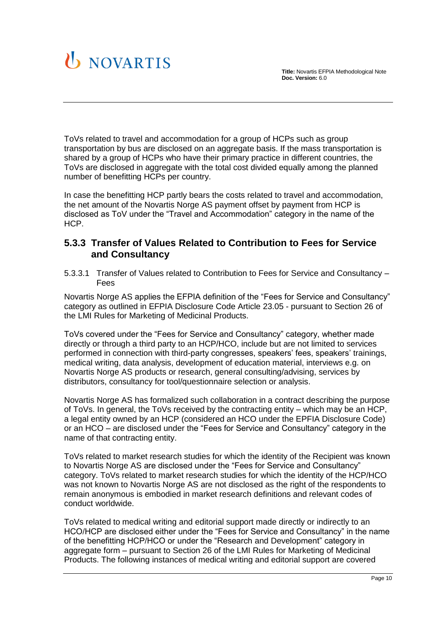

ToVs related to travel and accommodation for a group of HCPs such as group transportation by bus are disclosed on an aggregate basis. If the mass transportation is shared by a group of HCPs who have their primary practice in different countries, the ToVs are disclosed in aggregate with the total cost divided equally among the planned number of benefitting HCPs per country.

In case the benefitting HCP partly bears the costs related to travel and accommodation, the net amount of the Novartis Norge AS payment offset by payment from HCP is disclosed as ToV under the "Travel and Accommodation" category in the name of the HCP.

#### <span id="page-9-0"></span>**5.3.3 Transfer of Values Related to Contribution to Fees for Service and Consultancy**

<span id="page-9-1"></span>5.3.3.1 Transfer of Values related to Contribution to Fees for Service and Consultancy – Fees

Novartis Norge AS applies the EFPIA definition of the "Fees for Service and Consultancy" category as outlined in EFPIA Disclosure Code Article 23.05 - pursuant to Section 26 of the LMI Rules for Marketing of Medicinal Products.

ToVs covered under the "Fees for Service and Consultancy" category, whether made directly or through a third party to an HCP/HCO, include but are not limited to services performed in connection with third-party congresses, speakers' fees, speakers' trainings, medical writing, data analysis, development of education material, interviews e.g. on Novartis Norge AS products or research, general consulting/advising, services by distributors, consultancy for tool/questionnaire selection or analysis.

Novartis Norge AS has formalized such collaboration in a contract describing the purpose of ToVs. In general, the ToVs received by the contracting entity – which may be an HCP, a legal entity owned by an HCP (considered an HCO under the EPFIA Disclosure Code) or an HCO – are disclosed under the "Fees for Service and Consultancy" category in the name of that contracting entity.

ToVs related to market research studies for which the identity of the Recipient was known to Novartis Norge AS are disclosed under the "Fees for Service and Consultancy" category. ToVs related to market research studies for which the identity of the HCP/HCO was not known to Novartis Norge AS are not disclosed as the right of the respondents to remain anonymous is embodied in market research definitions and relevant codes of conduct worldwide.

ToVs related to medical writing and editorial support made directly or indirectly to an HCO/HCP are disclosed either under the "Fees for Service and Consultancy" in the name of the benefitting HCP/HCO or under the "Research and Development" category in aggregate form – pursuant to Section 26 of the LMI Rules for Marketing of Medicinal Products. The following instances of medical writing and editorial support are covered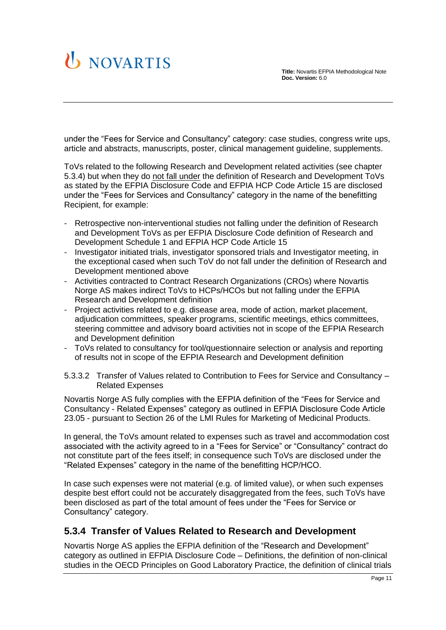under the "Fees for Service and Consultancy" category: case studies, congress write ups, article and abstracts, manuscripts, poster, clinical management guideline, supplements.

ToVs related to the following Research and Development related activities (see chapter [5.3.4\)](#page-10-1) but when they do not fall under the definition of Research and Development ToVs as stated by the EFPIA Disclosure Code and EFPIA HCP Code Article 15 are disclosed under the "Fees for Services and Consultancy" category in the name of the benefitting Recipient, for example:

- Retrospective non-interventional studies not falling under the definition of Research and Development ToVs as per EFPIA Disclosure Code definition of Research and Development Schedule 1 and EFPIA HCP Code Article 15
- Investigator initiated trials, investigator sponsored trials and Investigator meeting, in the exceptional cased when such ToV do not fall under the definition of Research and Development mentioned above
- Activities contracted to Contract Research Organizations (CROs) where Novartis Norge AS makes indirect ToVs to HCPs/HCOs but not falling under the EFPIA Research and Development definition
- Project activities related to e.g. disease area, mode of action, market placement, adjudication committees, speaker programs, scientific meetings, ethics committees, steering committee and advisory board activities not in scope of the EFPIA Research and Development definition
- ToVs related to consultancy for tool/questionnaire selection or analysis and reporting of results not in scope of the EFPIA Research and Development definition

<span id="page-10-0"></span>5.3.3.2 Transfer of Values related to Contribution to Fees for Service and Consultancy – Related Expenses

Novartis Norge AS fully complies with the EFPIA definition of the "Fees for Service and Consultancy - Related Expenses" category as outlined in EFPIA Disclosure Code Article 23.05 - pursuant to Section 26 of the LMI Rules for Marketing of Medicinal Products.

In general, the ToVs amount related to expenses such as travel and accommodation cost associated with the activity agreed to in a "Fees for Service" or "Consultancy" contract do not constitute part of the fees itself; in consequence such ToVs are disclosed under the "Related Expenses" category in the name of the benefitting HCP/HCO.

In case such expenses were not material (e.g. of limited value), or when such expenses despite best effort could not be accurately disaggregated from the fees, such ToVs have been disclosed as part of the total amount of fees under the "Fees for Service or Consultancy" category.

#### <span id="page-10-1"></span>**5.3.4 Transfer of Values Related to Research and Development**

Novartis Norge AS applies the EFPIA definition of the "Research and Development" category as outlined in EFPIA Disclosure Code – Definitions, the definition of non-clinical studies in the OECD Principles on Good Laboratory Practice, the definition of clinical trials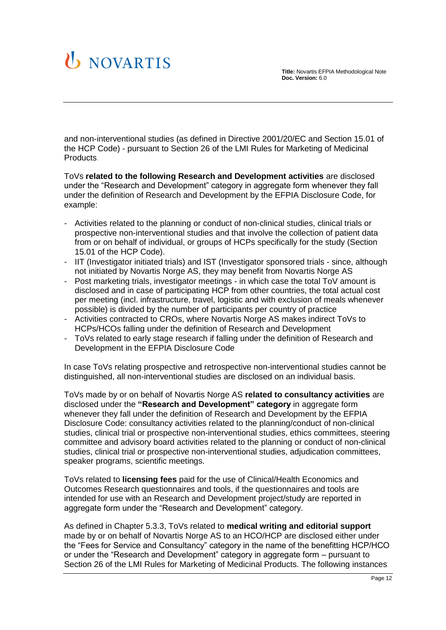# U NOVARTIS

and non-interventional studies (as defined in Directive 2001/20/EC and Section 15.01 of the HCP Code) - pursuant to Section 26 of the LMI Rules for Marketing of Medicinal Products.

ToVs **related to the following Research and Development activities** are disclosed under the "Research and Development" category in aggregate form whenever they fall under the definition of Research and Development by the EFPIA Disclosure Code, for example:

- Activities related to the planning or conduct of non-clinical studies, clinical trials or prospective non-interventional studies and that involve the collection of patient data from or on behalf of individual, or groups of HCPs specifically for the study (Section 15.01 of the HCP Code).
- IIT (Investigator initiated trials) and IST (Investigator sponsored trials since, although not initiated by Novartis Norge AS, they may benefit from Novartis Norge AS
- Post marketing trials, investigator meetings in which case the total ToV amount is disclosed and in case of participating HCP from other countries, the total actual cost per meeting (incl. infrastructure, travel, logistic and with exclusion of meals whenever possible) is divided by the number of participants per country of practice
- Activities contracted to CROs, where Novartis Norge AS makes indirect ToVs to HCPs/HCOs falling under the definition of Research and Development
- ToVs related to early stage research if falling under the definition of Research and Development in the EFPIA Disclosure Code

In case ToVs relating prospective and retrospective non-interventional studies cannot be distinguished, all non-interventional studies are disclosed on an individual basis.

ToVs made by or on behalf of Novartis Norge AS **related to consultancy activities** are disclosed under the **"Research and Development" category** in aggregate form whenever they fall under the definition of Research and Development by the EFPIA Disclosure Code: consultancy activities related to the planning/conduct of non-clinical studies, clinical trial or prospective non-interventional studies, ethics committees, steering committee and advisory board activities related to the planning or conduct of non-clinical studies, clinical trial or prospective non-interventional studies, adjudication committees, speaker programs, scientific meetings.

ToVs related to **licensing fees** paid for the use of Clinical/Health Economics and Outcomes Research questionnaires and tools, if the questionnaires and tools are intended for use with an Research and Development project/study are reported in aggregate form under the "Research and Development" category.

As defined in Chapter 5.3.3, ToVs related to **medical writing and editorial support**  made by or on behalf of Novartis Norge AS to an HCO/HCP are disclosed either under the "Fees for Service and Consultancy" category in the name of the benefitting HCP/HCO or under the "Research and Development" category in aggregate form – pursuant to Section 26 of the LMI Rules for Marketing of Medicinal Products. The following instances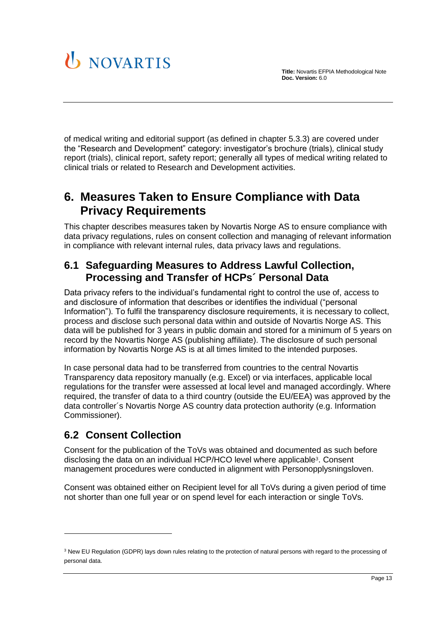

of medical writing and editorial support (as defined in chapter [5.3.3\)](#page-9-0) are covered under the "Research and Development" category: investigator's brochure (trials), clinical study report (trials), clinical report, safety report; generally all types of medical writing related to clinical trials or related to Research and Development activities.

# <span id="page-12-0"></span>**6. Measures Taken to Ensure Compliance with Data Privacy Requirements**

This chapter describes measures taken by Novartis Norge AS to ensure compliance with data privacy regulations, rules on consent collection and managing of relevant information in compliance with relevant internal rules, data privacy laws and regulations.

#### <span id="page-12-1"></span>**6.1 Safeguarding Measures to Address Lawful Collection, Processing and Transfer of HCPs´ Personal Data**

Data privacy refers to the individual's fundamental right to control the use of, access to and disclosure of information that describes or identifies the individual ("personal Information"). To fulfil the transparency disclosure requirements, it is necessary to collect, process and disclose such personal data within and outside of Novartis Norge AS. This data will be published for 3 years in public domain and stored for a minimum of 5 years on record by the Novartis Norge AS (publishing affiliate). The disclosure of such personal information by Novartis Norge AS is at all times limited to the intended purposes.

In case personal data had to be transferred from countries to the central Novartis Transparency data repository manually (e.g. Excel) or via interfaces, applicable local regulations for the transfer were assessed at local level and managed accordingly. Where required, the transfer of data to a third country (outside the EU/EEA) was approved by the data controller´s Novartis Norge AS country data protection authority (e.g. Information Commissioner).

### <span id="page-12-2"></span>**6.2 Consent Collection**

Consent for the publication of the ToVs was obtained and documented as such before disclosing the data on an individual HCP/HCO level where applicable3. Consent management procedures were conducted in alignment with Personopplysningsloven.

Consent was obtained either on Recipient level for all ToVs during a given period of time not shorter than one full year or on spend level for each interaction or single ToVs.

<sup>&</sup>lt;sup>3</sup> New EU Regulation (GDPR) lays down rules relating to the protection of natural persons with regard to the processing of personal data.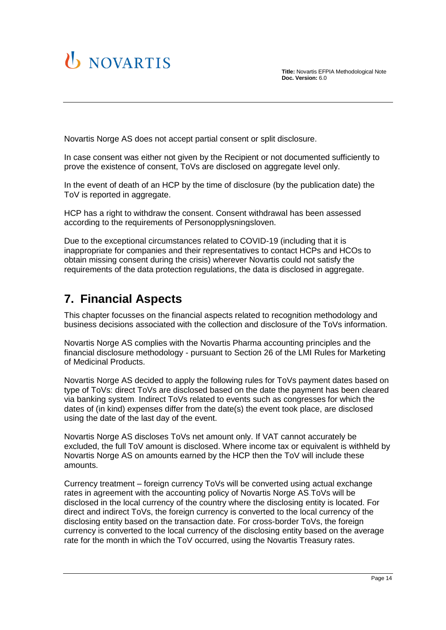

Novartis Norge AS does not accept partial consent or split disclosure.

In case consent was either not given by the Recipient or not documented sufficiently to prove the existence of consent, ToVs are disclosed on aggregate level only.

In the event of death of an HCP by the time of disclosure (by the publication date) the ToV is reported in aggregate.

HCP has a right to withdraw the consent. Consent withdrawal has been assessed according to the requirements of Personopplysningsloven.

Due to the exceptional circumstances related to COVID-19 (including that it is inappropriate for companies and their representatives to contact HCPs and HCOs to obtain missing consent during the crisis) wherever Novartis could not satisfy the requirements of the data protection regulations, the data is disclosed in aggregate.

# <span id="page-13-0"></span>**7. Financial Aspects**

This chapter focusses on the financial aspects related to recognition methodology and business decisions associated with the collection and disclosure of the ToVs information.

Novartis Norge AS complies with the Novartis Pharma accounting principles and the financial disclosure methodology - pursuant to Section 26 of the LMI Rules for Marketing of Medicinal Products.

Novartis Norge AS decided to apply the following rules for ToVs payment dates based on type of ToVs: direct ToVs are disclosed based on the date the payment has been cleared via banking system. Indirect ToVs related to events such as congresses for which the dates of (in kind) expenses differ from the date(s) the event took place, are disclosed using the date of the last day of the event.

Novartis Norge AS discloses ToVs net amount only. If VAT cannot accurately be excluded, the full ToV amount is disclosed. Where income tax or equivalent is withheld by Novartis Norge AS on amounts earned by the HCP then the ToV will include these amounts.

Currency treatment – foreign currency ToVs will be converted using actual exchange rates in agreement with the accounting policy of Novartis Norge AS.ToVs will be disclosed in the local currency of the country where the disclosing entity is located. For direct and indirect ToVs, the foreign currency is converted to the local currency of the disclosing entity based on the transaction date. For cross-border ToVs, the foreign currency is converted to the local currency of the disclosing entity based on the average rate for the month in which the ToV occurred, using the Novartis Treasury rates.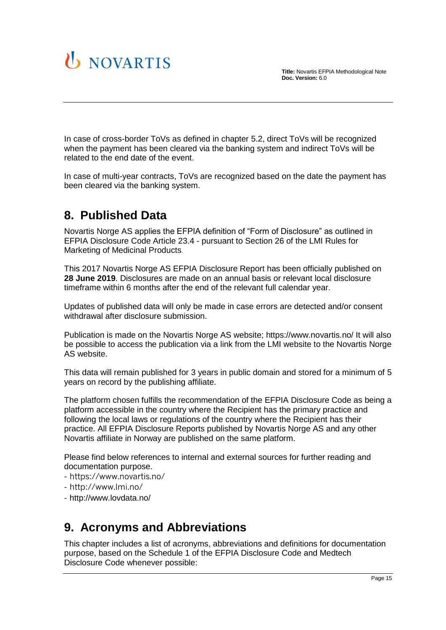



In case of cross-border ToVs as defined in chapter 5.2, direct ToVs will be recognized when the payment has been cleared via the banking system and indirect ToVs will be related to the end date of the event.

In case of multi-year contracts, ToVs are recognized based on the date the payment has been cleared via the banking system.

# <span id="page-14-0"></span>**8. Published Data**

Novartis Norge AS applies the EFPIA definition of "Form of Disclosure" as outlined in EFPIA Disclosure Code Article 23.4 - pursuant to Section 26 of the LMI Rules for Marketing of Medicinal Products.

This 2017 Novartis Norge AS EFPIA Disclosure Report has been officially published on **28 June 2019**. Disclosures are made on an annual basis or relevant local disclosure timeframe within 6 months after the end of the relevant full calendar year.

Updates of published data will only be made in case errors are detected and/or consent withdrawal after disclosure submission.

Publication is made on the Novartis Norge AS website; https://www.novartis.no/ It will also be possible to access the publication via a link from the LMI website to the Novartis Norge AS website.

This data will remain published for 3 years in public domain and stored for a minimum of 5 years on record by the publishing affiliate.

The platform chosen fulfills the recommendation of the EFPIA Disclosure Code as being a platform accessible in the country where the Recipient has the primary practice and following the local laws or regulations of the country where the Recipient has their practice. All EFPIA Disclosure Reports published by Novartis Norge AS and any other Novartis affiliate in Norway are published on the same platform.

Please find below references to internal and external sources for further reading and documentation purpose.

- https://www.novartis.no/
- http://www.lmi.no/
- <span id="page-14-1"></span>- http://www.lovdata.no/

## **9. Acronyms and Abbreviations**

This chapter includes a list of acronyms, abbreviations and definitions for documentation purpose, based on the Schedule 1 of the EFPIA Disclosure Code and Medtech Disclosure Code whenever possible: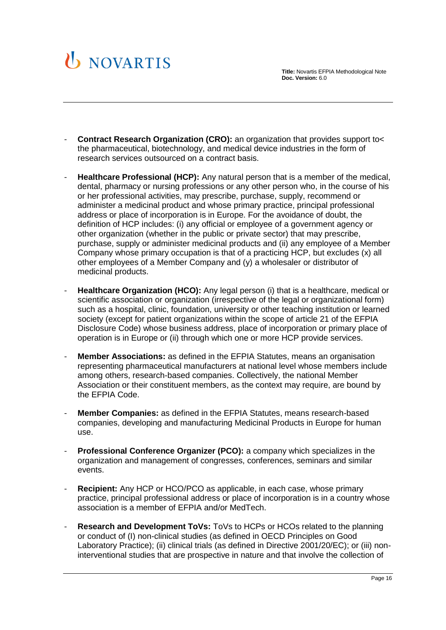

- **Contract Research Organization (CRO):** an organization that provides support to< the pharmaceutical, biotechnology, and medical device industries in the form of research services outsourced on a contract basis.
- **Healthcare Professional (HCP):** Any natural person that is a member of the medical, dental, pharmacy or nursing professions or any other person who, in the course of his or her professional activities, may prescribe, purchase, supply, recommend or administer a medicinal product and whose primary practice, principal professional address or place of incorporation is in Europe. For the avoidance of doubt, the definition of HCP includes: (i) any official or employee of a government agency or other organization (whether in the public or private sector) that may prescribe, purchase, supply or administer medicinal products and (ii) any employee of a Member Company whose primary occupation is that of a practicing HCP, but excludes (x) all other employees of a Member Company and (y) a wholesaler or distributor of medicinal products.
- **Healthcare Organization (HCO):** Any legal person (i) that is a healthcare, medical or scientific association or organization (irrespective of the legal or organizational form) such as a hospital, clinic, foundation, university or other teaching institution or learned society (except for patient organizations within the scope of article 21 of the EFPIA Disclosure Code) whose business address, place of incorporation or primary place of operation is in Europe or (ii) through which one or more HCP provide services.
- **Member Associations:** as defined in the EFPIA Statutes, means an organisation representing pharmaceutical manufacturers at national level whose members include among others, research-based companies. Collectively, the national Member Association or their constituent members, as the context may require, are bound by the EFPIA Code.
- **Member Companies:** as defined in the EFPIA Statutes, means research-based companies, developing and manufacturing Medicinal Products in Europe for human use.
- **Professional Conference Organizer (PCO):** a company which specializes in the organization and management of congresses, conferences, seminars and similar events.
- **Recipient:** Any HCP or HCO/PCO as applicable, in each case, whose primary practice, principal professional address or place of incorporation is in a country whose association is a member of EFPIA and/or MedTech.
- **Research and Development ToVs:** ToVs to HCPs or HCOs related to the planning or conduct of (I) non-clinical studies (as defined in OECD Principles on Good Laboratory Practice); (ii) clinical trials (as defined in Directive 2001/20/EC); or (iii) noninterventional studies that are prospective in nature and that involve the collection of